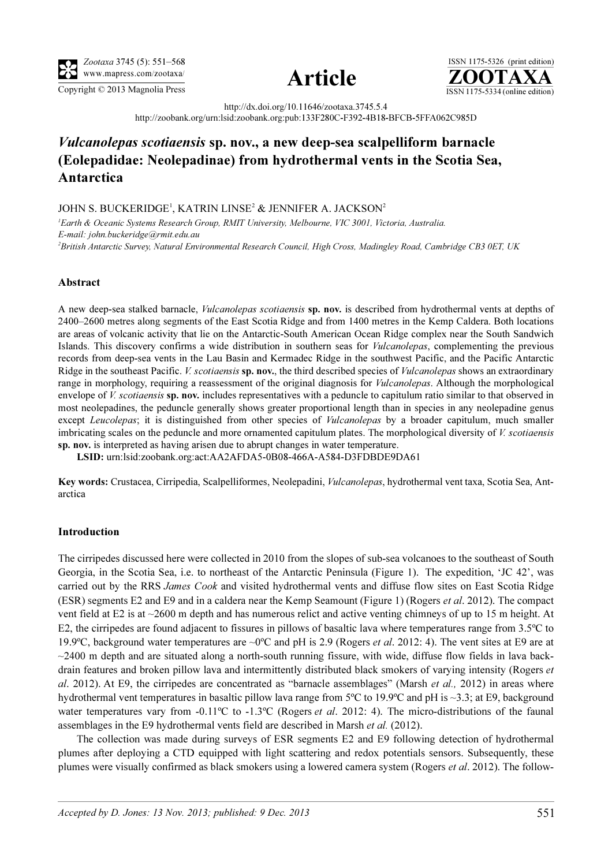





http://dx.doi.org/10.11646/zootaxa.3745.5.4

http://zoobank.org/urn:lsid:zoobank.org:pub:133F280C-F392-4B18-BFCB-5FFA062C985D

# Vulcanolepas scotiaensis sp. nov., a new deep-sea scalpelliform barnacle (Eolepadidae: Neolepadinae) from hydrothermal vents in the Scotia Sea, Antarctica

# JOHN S. BUCKERIDGE<sup>1</sup>, KATRIN LINSE<sup>2</sup> & JENNIFER A. JACKSON<sup>2</sup>

<sup>1</sup>Earth & Oceanic Systems Research Group, RMIT University, Melbourne, VIC 3001, Victoria, Australia. E-mail: john.buckeridge@rmit.edu.au 2 British Antarctic Survey, Natural Environmental Research Council, High Cross, Madingley Road, Cambridge CB3 0ET, UK

# Abstract

A new deep-sea stalked barnacle, Vulcanolepas scotiaensis sp. nov. is described from hydrothermal vents at depths of 2400–2600 metres along segments of the East Scotia Ridge and from 1400 metres in the Kemp Caldera. Both locations are areas of volcanic activity that lie on the Antarctic-South American Ocean Ridge complex near the South Sandwich Islands. This discovery confirms a wide distribution in southern seas for Vulcanolepas, complementing the previous records from deep-sea vents in the Lau Basin and Kermadec Ridge in the southwest Pacific, and the Pacific Antarctic Ridge in the southeast Pacific. *V. scotiaensis* sp. nov., the third described species of *Vulcanolepas* shows an extraordinary range in morphology, requiring a reassessment of the original diagnosis for *Vulcanolepas*. Although the morphological envelope of V. scotiaensis sp. nov. includes representatives with a peduncle to capitulum ratio similar to that observed in most neolepadines, the peduncle generally shows greater proportional length than in species in any neolepadine genus except Leucolepas; it is distinguished from other species of Vulcanolepas by a broader capitulum, much smaller imbricating scales on the peduncle and more ornamented capitulum plates. The morphological diversity of *V. scotiaensis* sp. nov. is interpreted as having arisen due to abrupt changes in water temperature.

LSID: urn:lsid:zoobank.org:act:AA2AFDA5-0B08-466A-A584-D3FDBDE9DA61

Key words: Crustacea, Cirripedia, Scalpelliformes, Neolepadini, Vulcanolepas, hydrothermal vent taxa, Scotia Sea, Antarctica

#### Introduction

The cirripedes discussed here were collected in 2010 from the slopes of sub-sea volcanoes to the southeast of South Georgia, in the Scotia Sea, i.e. to northeast of the Antarctic Peninsula (Figure 1). The expedition, 'JC 42', was carried out by the RRS James Cook and visited hydrothermal vents and diffuse flow sites on East Scotia Ridge (ESR) segments E2 and E9 and in a caldera near the Kemp Seamount (Figure 1) (Rogers et al. 2012). The compact vent field at E2 is at ~2600 m depth and has numerous relict and active venting chimneys of up to 15 m height. At E2, the cirripedes are found adjacent to fissures in pillows of basaltic lava where temperatures range from 3.5ºC to 19.9°C, background water temperatures are  $\sim$  0°C and pH is 2.9 (Rogers *et al.* 2012: 4). The vent sites at E9 are at  $\sim$ 2400 m depth and are situated along a north-south running fissure, with wide, diffuse flow fields in lava backdrain features and broken pillow lava and intermittently distributed black smokers of varying intensity (Rogers et al. 2012). At E9, the cirripedes are concentrated as "barnacle assemblages" (Marsh *et al.*, 2012) in areas where hydrothermal vent temperatures in basaltic pillow lava range from 5<sup>o</sup>C to 19.9<sup>o</sup>C and pH is ~3.3; at E9, background water temperatures vary from -0.11<sup>o</sup>C to -1.3<sup>o</sup>C (Rogers *et al.* 2012: 4). The micro-distributions of the faunal assemblages in the E9 hydrothermal vents field are described in Marsh et al. (2012).

The collection was made during surveys of ESR segments E2 and E9 following detection of hydrothermal plumes after deploying a CTD equipped with light scattering and redox potentials sensors. Subsequently, these plumes were visually confirmed as black smokers using a lowered camera system (Rogers et al. 2012). The follow-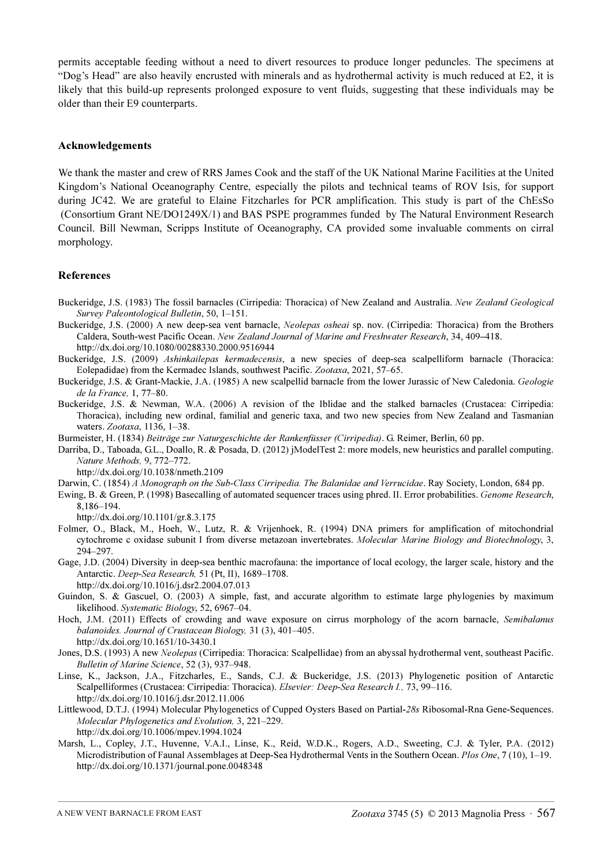permits acceptable feeding without a need to divert resources to produce longer peduncles. The specimens at "Dog's Head" are also heavily encrusted with minerals and as hydrothermal activity is much reduced at E2, it is likely that this build-up represents prolonged exposure to vent fluids, suggesting that these individuals may be older than their E9 counterparts.

# Acknowledgements

We thank the master and crew of RRS James Cook and the staff of the UK National Marine Facilities at the United Kingdom's National Oceanography Centre, especially the pilots and technical teams of ROV Isis, for support during JC42. We are grateful to Elaine Fitzcharles for PCR amplification. This study is part of the ChEsSo (Consortium Grant NE/DO1249X/1) and BAS PSPE programmes funded by The Natural Environment Research Council. Bill Newman, Scripps Institute of Oceanography, CA provided some invaluable comments on cirral morphology.

# References

- Buckeridge, J.S. (1983) The fossil barnacles (Cirripedia: Thoracica) of New Zealand and Australia. New Zealand Geological Survey Paleontological Bulletin, 50, 1–151.
- Buckeridge, J.S. (2000) A new deep-sea vent barnacle, Neolepas osheai sp. nov. (Cirripedia: Thoracica) from the Brothers Caldera, South-west Pacific Ocean. New Zealand Journal of Marine and Freshwater Research, 34, 409–[418.](http://dx.doi.org/10.1080/00288330.2000.9516944) [h](http://dx.doi.org/10.1080/00288330.2000.9516944)ttp://dx.doi.org/10.1080/00288330.2000.9516944
- Buckeridge, J.S. (2009) Ashinkailepas kermadecensis, a new species of deep-sea scalpelliform barnacle (Thoracica: Eolepadidae) from the Kermadec Islands, southwest Pacific. Zootaxa, 2021, 57–65.
- Buckeridge, J.S. & Grant-Mackie, J.A. (1985) A new scalpellid barnacle from the lower Jurassic of New Caledonia. Geologie de la France, 1, 77–80.
- Buckeridge, J.S. & Newman, W.A. (2006) A revision of the Iblidae and the stalked barnacles (Crustacea: Cirripedia: Thoracica), including new ordinal, familial and generic taxa, and two new species from New Zealand and Tasmanian waters. Zootaxa, 1136, 1–38.
- Burmeister, H. (1834) Beiträge zur Naturgeschichte der Rankenfüsser (Cirripedia). G. Reimer, Berlin, 60 pp.
- Darriba, D., Taboada, G.L., Doallo, R. & Posada, D. (2012) jModelTest 2: more models, new heuristics and parallel computing. Nature Methods, [9, 772–772.](http://dx.doi.org/10.1038/nmeth.2109)
	- [h](http://dx.doi.org/10.1038/nmeth.2109)ttp://dx.doi.org/10.1038/nmeth.2109
- Darwin, C. (1854) A Monograph on the Sub-Class Cirripedia. The Balanidae and Verrucidae. Ray Society, London, 684 pp.
- Ewing, B. & Green, P. (1998) Basecalling of automated sequencer traces using phred. II. Error probabilities. Genome Research, [8,186–194.](http://dx.doi.org/10.1101/gr.8.3.175)

[h](http://dx.doi.org/10.1101/gr.8.3.175)ttp://dx.doi.org/10.1101/gr.8.3.175

- Folmer, O., Black, M., Hoeh, W., Lutz, R. & Vrijenhoek, R. (1994) DNA primers for amplification of mitochondrial cytochrome c oxidase subunit I from diverse metazoan invertebrates. Molecular Marine Biology and Biotechnology, 3, 294–297.
- Gage, J.D. (2004) Diversity in deep-sea benthic macrofauna: the importance of local ecology, the larger scale, history and the Antarctic. Deep-Sea Research, [51 \(Pt, II\), 1689–1708.](http://dx.doi.org/10.1016/j.dsr2.2004.07.013) [h](http://dx.doi.org/10.1016/j.dsr2.2004.07.013)ttp://dx.doi.org/10.1016/j.dsr2.2004.07.013
- Guindon, S. & Gascuel, O. (2003) A simple, fast, and accurate algorithm to estimate large phylogenies by maximum likelihood. Systematic Biology, 52, 6967–04.
- Hoch, J.M. (2011) Effects of crowding and wave exposure on cirrus morphology of the acorn barnacle, Semibalanus balanoides. Journal of Crustacean Biology, [31 \(3\), 401–405.](http://dx.doi.org/10.1651/10-3430.1) [h](http://dx.doi.org/10.1651/10-3430.1)ttp://dx.doi.org/10.1651/10-3430.1
- Jones, D.S. (1993) A new *Neolepas* (Cirripedia: Thoracica: Scalpellidae) from an abyssal hydrothermal vent, southeast Pacific. Bulletin of Marine Science, 52 (3), 937–948.
- Linse, K., Jackson, J.A., Fitzcharles, E., Sands, C.J. & Buckeridge, J.S. (2013) Phylogenetic position of Antarctic Scalpelliformes (Crustacea: Cirripedia: Thoracica). Elsevier: Deep-Sea Research I., [73, 99–116.](http://dx.doi.org/10.1016/j.dsr.2012.11.006) [h](http://dx.doi.org/10.1016/j.dsr.2012.11.006)ttp://dx.doi.org/10.1016/j.dsr.2012.11.006
- Littlewood, D.T.J. (1994) Molecular Phylogenetics of Cupped Oysters Based on Partial-28s Ribosomal-Rna Gene-Sequences. Molecular Phylogenetics and Evolution, [3, 221–229.](http://dx.doi.org/10.1006/mpev.1994.1024) [h](http://dx.doi.org/10.1006/mpev.1994.1024)ttp://dx.doi.org/10.1006/mpev.1994.1024
- Marsh, L., Copley, J.T., Huvenne, V.A.I., Linse, K., Reid, W.D.K., Rogers, A.D., Sweeting, C.J. & Tyler, P.A. (2012) Microdistribution of Faunal Assemblages at Deep-Sea Hydrothermal Vents in the Southern Ocean. Plos One, 7 (10), 1–19. [h](http://dx.doi.org/10.1371/journal.pone.0048348)ttp://dx.doi.org/10.1371/journal.pone.0048348